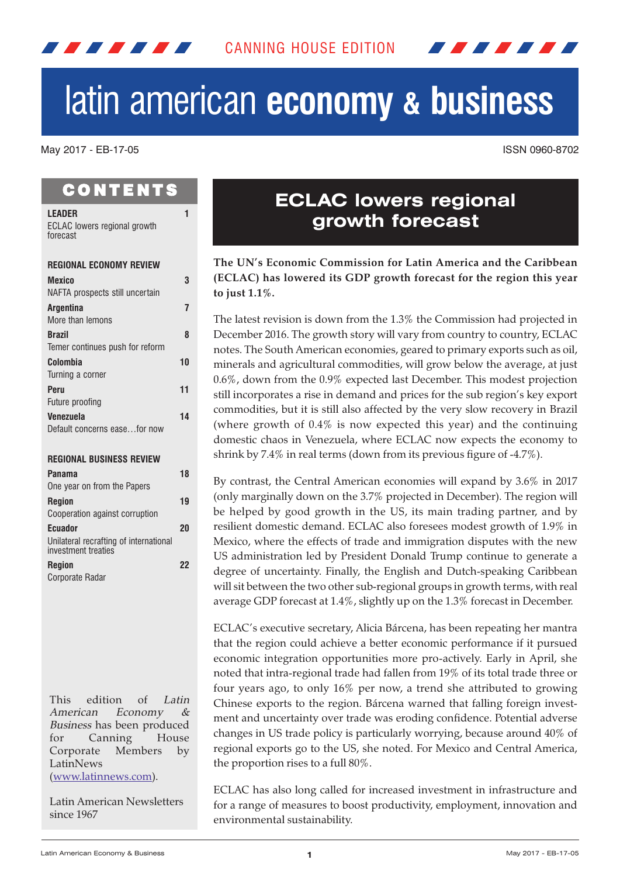

# latin american **economy & business**

May 2017 - EB-17-05 ISSN 0960-8702

## **CONTENTS**

<span id="page-0-0"></span>7 7 7 7 7 7 7 7

| <b>LEADER</b><br><b>ECLAC</b> lowers regional growth                            | 1  |
|---------------------------------------------------------------------------------|----|
| forecast                                                                        |    |
| <b>REGIONAL ECONOMY REVIEW</b>                                                  |    |
| <b>Mexico</b><br>NAFTA prospects still uncertain                                | 3  |
| <b>Argentina</b><br>More than lemons                                            | 7  |
| <b>Brazil</b><br>Temer continues push for reform                                | 8  |
| Colombia<br>Turning a corner                                                    | 10 |
| Peru                                                                            | 11 |
| Future proofing                                                                 |    |
| <b>Venezuela</b><br>Default concerns easefor now                                | 14 |
| <b>REGIONAL BUSINESS REVIEW</b>                                                 |    |
| Panama<br>One year on from the Papers                                           | 18 |
| <b>Region</b><br>Cooperation against corruption                                 | 19 |
| <b>Ecuador</b><br>Unilateral recrafting of international<br>investment treaties | 20 |
| <b>Region</b><br>Corporate Radar                                                | 22 |

This edition of Latin American Economy & Business has been produced for Canning House Corporate Members by LatinNews (www.latinnews.com).

Latin American Newsletters since 1967

# **ECLAC lowers regional growth forecast**

**The UN's Economic Commission for Latin America and the Caribbean (ECLAC) has lowered its GDP growth forecast for the region this year to just 1.1%.**

The latest revision is down from the 1.3% the Commission had projected in December 2016. The growth story will vary from country to country, ECLAC notes. The South American economies, geared to primary exports such as oil, minerals and agricultural commodities, will grow below the average, at just 0.6%, down from the 0.9% expected last December. This modest projection still incorporates a rise in demand and prices for the sub region's key export commodities, but it is still also affected by the very slow recovery in Brazil (where growth of 0.4% is now expected this year) and the continuing domestic chaos in Venezuela, where ECLAC now expects the economy to shrink by 7.4% in real terms (down from its previous figure of -4.7%).

By contrast, the Central American economies will expand by 3.6% in 2017 (only marginally down on the 3.7% projected in December). The region will be helped by good growth in the US, its main trading partner, and by resilient domestic demand. ECLAC also foresees modest growth of 1.9% in Mexico, where the effects of trade and immigration disputes with the new US administration led by President Donald Trump continue to generate a degree of uncertainty. Finally, the English and Dutch-speaking Caribbean will sit between the two other sub-regional groups in growth terms, with real average GDP forecast at 1.4%, slightly up on the 1.3% forecast in December.

ECLAC's executive secretary, Alicia Bárcena, has been repeating her mantra that the region could achieve a better economic performance if it pursued economic integration opportunities more pro-actively. Early in April, she noted that intra-regional trade had fallen from 19% of its total trade three or four years ago, to only 16% per now, a trend she attributed to growing Chinese exports to the region. Bárcena warned that falling foreign investment and uncertainty over trade was eroding confidence. Potential adverse changes in US trade policy is particularly worrying, because around 40% of regional exports go to the US, she noted. For Mexico and Central America, the proportion rises to a full 80%.

ECLAC has also long called for increased investment in infrastructure and for a range of measures to boost productivity, employment, innovation and environmental sustainability.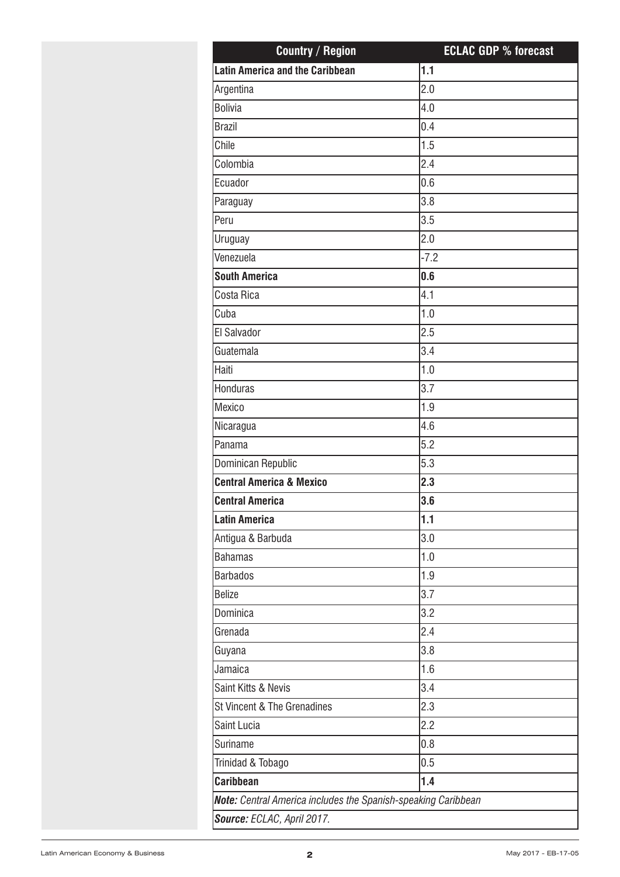| <b>Country / Region</b>                                       | <b>ECLAC GDP % forecast</b> |
|---------------------------------------------------------------|-----------------------------|
| <b>Latin America and the Caribbean</b>                        | 1.1                         |
| Argentina                                                     | 2.0                         |
| <b>Bolivia</b>                                                | 4.0                         |
| <b>Brazil</b>                                                 | 0.4                         |
| Chile                                                         | 1.5                         |
| Colombia                                                      | 2.4                         |
| Ecuador                                                       | 0.6                         |
| Paraguay                                                      | 3.8                         |
| Peru                                                          | 3.5                         |
| Uruguay                                                       | 2.0                         |
| Venezuela                                                     | $-7.2$                      |
| <b>South America</b>                                          | 0.6                         |
| Costa Rica                                                    | 4.1                         |
| Cuba                                                          | 1.0                         |
| El Salvador                                                   | 2.5                         |
| Guatemala                                                     | 3.4                         |
| Haiti                                                         | 1.0                         |
| Honduras                                                      | 3.7                         |
| Mexico                                                        | 1.9                         |
| Nicaragua                                                     | 4.6                         |
| Panama                                                        | 5.2                         |
| Dominican Republic                                            | 5.3                         |
| <b>Central America &amp; Mexico</b>                           | 2.3                         |
| <b>Central America</b>                                        | 3.6                         |
| <b>Latin America</b>                                          | 1.1                         |
| Antigua & Barbuda                                             | 3.0                         |
| <b>Bahamas</b>                                                | 1.0                         |
| <b>Barbados</b>                                               | 1.9                         |
| <b>Belize</b>                                                 | 3.7                         |
| Dominica                                                      | 3.2                         |
| Grenada                                                       | 2.4                         |
| Guyana                                                        | 3.8                         |
| Jamaica                                                       | 1.6                         |
| Saint Kitts & Nevis                                           | 3.4                         |
| St Vincent & The Grenadines                                   | 2.3                         |
| Saint Lucia                                                   | 2.2                         |
| Suriname                                                      | 0.8                         |
| Trinidad & Tobago                                             | 0.5                         |
| <b>Caribbean</b>                                              | 1.4                         |
| Note: Central America includes the Spanish-speaking Caribbean |                             |
| Source: ECLAC, April 2017.                                    |                             |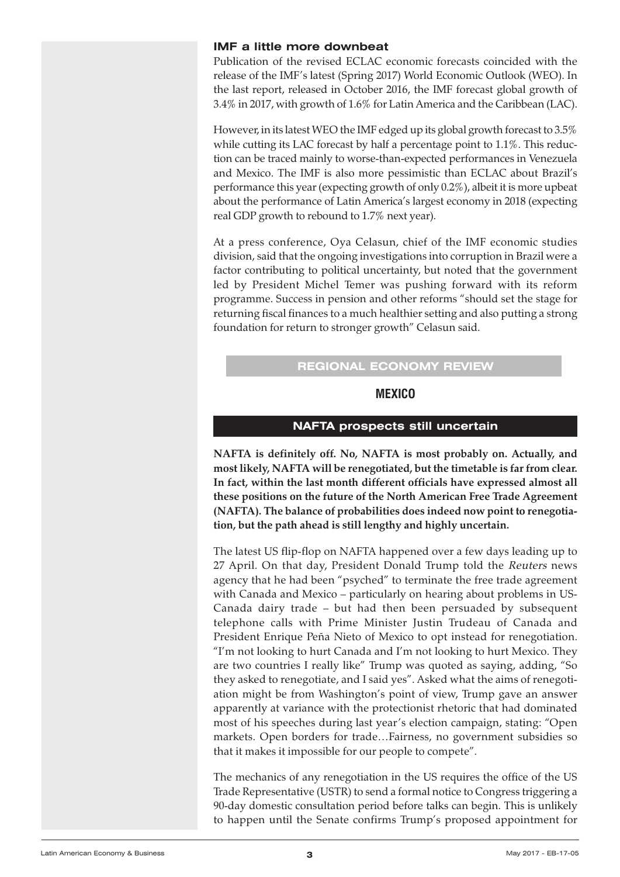#### <span id="page-2-0"></span>**IMF a little more downbeat**

Publication of the revised ECLAC economic forecasts coincided with the release of the IMF's latest (Spring 2017) World Economic Outlook (WEO). In the last report, released in October 2016, the IMF forecast global growth of 3.4% in 2017, with growth of 1.6% for Latin America and the Caribbean (LAC).

However, in its latest WEO the IMF edged up its global growth forecast to 3.5% while cutting its LAC forecast by half a percentage point to 1.1%. This reduction can be traced mainly to worse-than-expected performances in Venezuela and Mexico. The IMF is also more pessimistic than ECLAC about Brazil's performance this year(expecting growth of only 0.2%), albeit it is more upbeat about the performance of Latin America's largest economy in 2018 (expecting real GDP growth to rebound to 1.7% next year).

At a press conference, Oya Celasun, chief of the IMF economic studies division, said that the ongoing investigations into corruption in Brazil were a factor contributing to political uncertainty, but noted that the government led by President Michel Temer was pushing forward with its reform programme. Success in pension and other reforms "should set the stage for returning fiscal finances to a much healthier setting and also putting a strong foundation for return to stronger growth" Celasun said.

#### **REGIONAL ECONOMY REVIEW**

#### **MEXICO**

#### **NAFTA prospects still uncertain**

**NAFTA is definitely off. No, NAFTA is most probably on. Actually, and most likely, NAFTA will be renegotiated, but the timetable is far from clear. In fact, within the last month different officials have expressed almost all these positions on the future of the North American Free Trade Agreement (NAFTA). The balance of probabilities does indeed now point to renegotiation, but the path ahead is still lengthy and highly uncertain.**

The latest US flip-flop on NAFTA happened over a few days leading up to 27 April. On that day, President Donald Trump told the Reuters news agency that he had been "psyched" to terminate the free trade agreement with Canada and Mexico – particularly on hearing about problems in US-Canada dairy trade – but had then been persuaded by subsequent telephone calls with Prime Minister Justin Trudeau of Canada and President Enrique Peña Nieto of Mexico to opt instead for renegotiation. "I'm not looking to hurt Canada and I'm not looking to hurt Mexico. They are two countries I really like" Trump was quoted as saying, adding, "So they asked to renegotiate, and I said yes". Asked what the aims of renegotiation might be from Washington's point of view, Trump gave an answer apparently at variance with the protectionist rhetoric that had dominated most of his speeches during last year's election campaign, stating: "Open markets. Open borders for trade…Fairness, no government subsidies so that it makes it impossible for our people to compete".

The mechanics of any renegotiation in the US requires the office of the US Trade Representative (USTR) to send a formal notice to Congress triggering a 90-day domestic consultation period before talks can begin. This is unlikely to happen until the Senate confirms Trump's proposed appointment for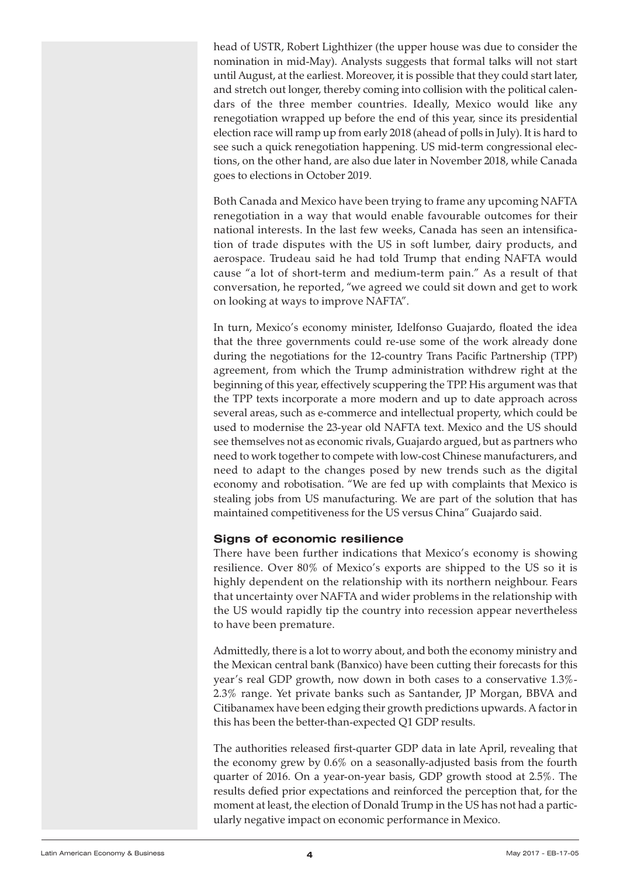head of USTR, Robert Lighthizer (the upper house was due to consider the nomination in mid-May). Analysts suggests that formal talks will not start until August, at the earliest. Moreover, it is possible that they could start later, and stretch out longer, thereby coming into collision with the political calendars of the three member countries. Ideally, Mexico would like any renegotiation wrapped up before the end of this year, since its presidential election race will ramp up from early 2018 (ahead of polls in July). It is hard to see such a quick renegotiation happening. US mid-term congressional elections, on the other hand, are also due later in November 2018, while Canada goes to elections in October 2019.

Both Canada and Mexico have been trying to frame any upcoming NAFTA renegotiation in a way that would enable favourable outcomes for their national interests. In the last few weeks, Canada has seen an intensification of trade disputes with the US in soft lumber, dairy products, and aerospace. Trudeau said he had told Trump that ending NAFTA would cause "a lot of short-term and medium-term pain." As a result of that conversation, he reported, "we agreed we could sit down and get to work on looking at ways to improve NAFTA".

In turn, Mexico's economy minister, Idelfonso Guajardo, floated the idea that the three governments could re-use some of the work already done during the negotiations for the 12-country Trans Pacific Partnership (TPP) agreement, from which the Trump administration withdrew right at the beginning of this year, effectively scuppering the TPP. His argument was that the TPP texts incorporate a more modern and up to date approach across several areas, such as e-commerce and intellectual property, which could be used to modernise the 23-year old NAFTA text. Mexico and the US should see themselves not as economic rivals, Guajardo argued, but as partners who need to work together to compete with low-cost Chinese manufacturers, and need to adapt to the changes posed by new trends such as the digital economy and robotisation. "We are fed up with complaints that Mexico is stealing jobs from US manufacturing. We are part of the solution that has maintained competitiveness for the US versus China" Guajardo said.

#### **Signs of economic resilience**

There have been further indications that Mexico's economy is showing resilience. Over 80% of Mexico's exports are shipped to the US so it is highly dependent on the relationship with its northern neighbour. Fears that uncertainty over NAFTA and wider problems in the relationship with the US would rapidly tip the country into recession appear nevertheless to have been premature.

Admittedly, there is a lot to worry about, and both the economy ministry and the Mexican central bank (Banxico) have been cutting their forecasts for this year's real GDP growth, now down in both cases to a conservative 1.3%- 2.3% range. Yet private banks such as Santander, JP Morgan, BBVA and Citibanamex have been edging their growth predictions upwards. A factorin this has been the better-than-expected Q1 GDP results.

The authorities released first-quarter GDP data in late April, revealing that the economy grew by 0.6% on a seasonally-adjusted basis from the fourth quarter of 2016. On a year-on-year basis, GDP growth stood at 2.5%. The results defied prior expectations and reinforced the perception that, for the moment at least, the election of Donald Trump in the US has not had a particularly negative impact on economic performance in Mexico.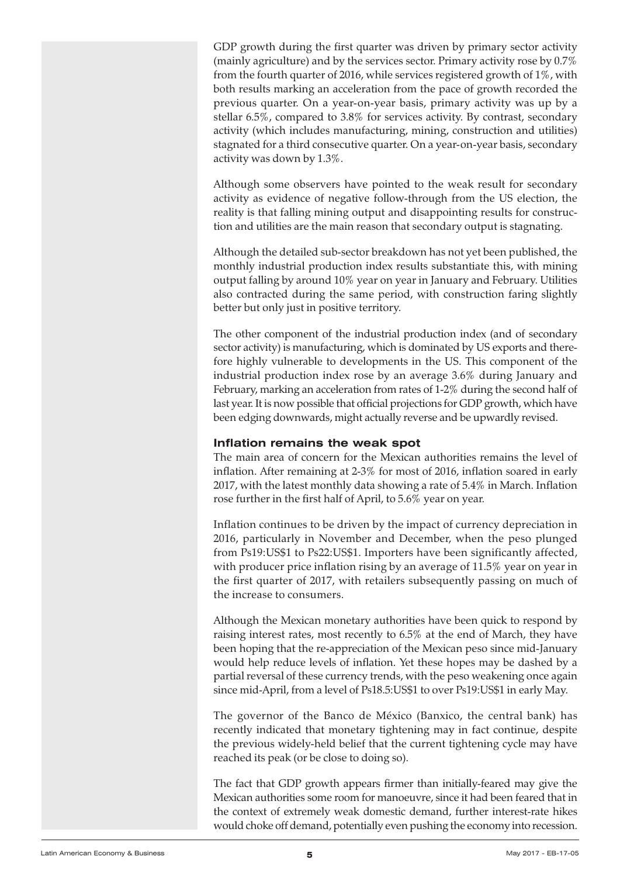GDP growth during the first quarter was driven by primary sector activity (mainly agriculture) and by the services sector. Primary activity rose by 0.7% from the fourth quarter of 2016, while services registered growth of 1%, with both results marking an acceleration from the pace of growth recorded the previous quarter. On a year-on-year basis, primary activity was up by a stellar 6.5%, compared to 3.8% for services activity. By contrast, secondary activity (which includes manufacturing, mining, construction and utilities) stagnated for a third consecutive quarter. On a year-on-year basis, secondary activity was down by 1.3%.

Although some observers have pointed to the weak result for secondary activity as evidence of negative follow-through from the US election, the reality is that falling mining output and disappointing results for construction and utilities are the main reason that secondary output is stagnating.

Although the detailed sub-sector breakdown has not yet been published, the monthly industrial production index results substantiate this, with mining output falling by around 10% year on year in January and February. Utilities also contracted during the same period, with construction faring slightly better but only just in positive territory.

The other component of the industrial production index (and of secondary sector activity) is manufacturing, which is dominated by US exports and therefore highly vulnerable to developments in the US. This component of the industrial production index rose by an average 3.6% during January and February, marking an acceleration from rates of 1-2% during the second half of last year. It is now possible that official projections for GDP growth, which have been edging downwards, might actually reverse and be upwardly revised.

#### **Inflation remains the weak spot**

The main area of concern for the Mexican authorities remains the level of inflation. After remaining at 2-3% for most of 2016, inflation soared in early 2017, with the latest monthly data showing a rate of 5.4% in March. Inflation rose further in the first half of April, to 5.6% year on year.

Inflation continues to be driven by the impact of currency depreciation in 2016, particularly in November and December, when the peso plunged from Ps19:US\$1 to Ps22:US\$1. Importers have been significantly affected, with producer price inflation rising by an average of 11.5% year on year in the first quarter of 2017, with retailers subsequently passing on much of the increase to consumers.

Although the Mexican monetary authorities have been quick to respond by raising interest rates, most recently to 6.5% at the end of March, they have been hoping that the re-appreciation of the Mexican peso since mid-January would help reduce levels of inflation. Yet these hopes may be dashed by a partial reversal of these currency trends, with the peso weakening once again since mid-April, from a level of Ps18.5:US\$1 to over Ps19:US\$1 in early May.

The governor of the Banco de México (Banxico, the central bank) has recently indicated that monetary tightening may in fact continue, despite the previous widely-held belief that the current tightening cycle may have reached its peak (or be close to doing so).

The fact that GDP growth appears firmer than initially-feared may give the Mexican authorities some room for manoeuvre, since it had been feared that in the context of extremely weak domestic demand, further interest-rate hikes would choke off demand, potentially even pushing the economy into recession.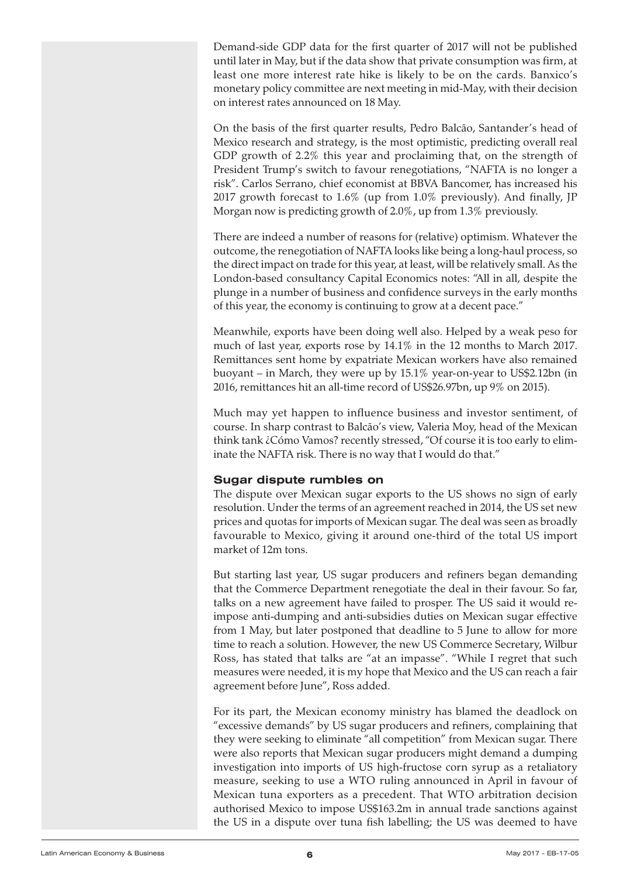Demand-side GDP data for the first quarter of 2017 will not be published until later in May, but if the data show that private consumption was firm, at least one more interest rate hike is likely to be on the cards. Banxico's monetary policy committee are next meeting in mid-May, with their decision on interest rates announced on 18 May.

On the basis of the first quarter results, Pedro Balcão, Santander's head of Mexico research and strategy, is the most optimistic, predicting overall real GDP growth of 2.2% this year and proclaiming that, on the strength of President Trump's switch to favour renegotiations, "NAFTA is no longer a risk". Carlos Serrano, chief economist at BBVA Bancomer, has increased his 2017 growth forecast to 1.6% (up from 1.0% previously). And finally, JP Morgan now is predicting growth of 2.0%, up from 1.3% previously.

There are indeed a number of reasons for (relative) optimism. Whatever the outcome, the renegotiation of NAFTA looks like being a long-haul process, so the direct impact on trade for this year, at least, will be relatively small. As the London-based consultancy Capital Economics notes: "All in all, despite the plunge in a number of business and confidence surveys in the early months of this year, the economy is continuing to grow at a decent pace."

Meanwhile, exports have been doing well also. Helped by a weak peso for much of last year, exports rose by 14.1% in the 12 months to March 2017. Remittances sent home by expatriate Mexican workers have also remained buoyant – in March, they were up by 15.1% year-on-year to US\$2.12bn (in 2016, remittances hit an all-time record of US\$26.97bn, up 9% on 2015).

Much may yet happen to influence business and investor sentiment, of course. In sharp contrast to Balcão's view, Valeria Moy, head of the Mexican think tank ¿Cómo Vamos? recently stressed, "Of course it is too early to eliminate the NAFTA risk. There is no way that I would do that."

#### **Sugar dispute rumbles on**

The dispute over Mexican sugar exports to the US shows no sign of early resolution. Under the terms of an agreement reached in 2014, the US set new prices and quotas for imports of Mexican sugar. The deal was seen as broadly favourable to Mexico, giving it around one-third of the total US import market of 12m tons.

But starting last year, US sugar producers and refiners began demanding that the Commerce Department renegotiate the deal in their favour. So far, talks on a new agreement have failed to prosper. The US said it would reimpose anti-dumping and anti-subsidies duties on Mexican sugar effective from 1 May, but later postponed that deadline to 5 June to allow for more time to reach a solution. However, the new US Commerce Secretary, Wilbur Ross, has stated that talks are "at an impasse". "While I regret that such measures were needed, it is my hope that Mexico and the US can reach a fair agreement before June", Ross added.

For its part, the Mexican economy ministry has blamed the deadlock on "excessive demands" by US sugar producers and refiners, complaining that they were seeking to eliminate "all competition" from Mexican sugar. There were also reports that Mexican sugar producers might demand a dumping investigation into imports of US high-fructose corn syrup as a retaliatory measure, seeking to use a WTO ruling announced in April in favour of Mexican tuna exporters as a precedent. That WTO arbitration decision authorised Mexico to impose US\$163.2m in annual trade sanctions against the US in a dispute over tuna fish labelling; the US was deemed to have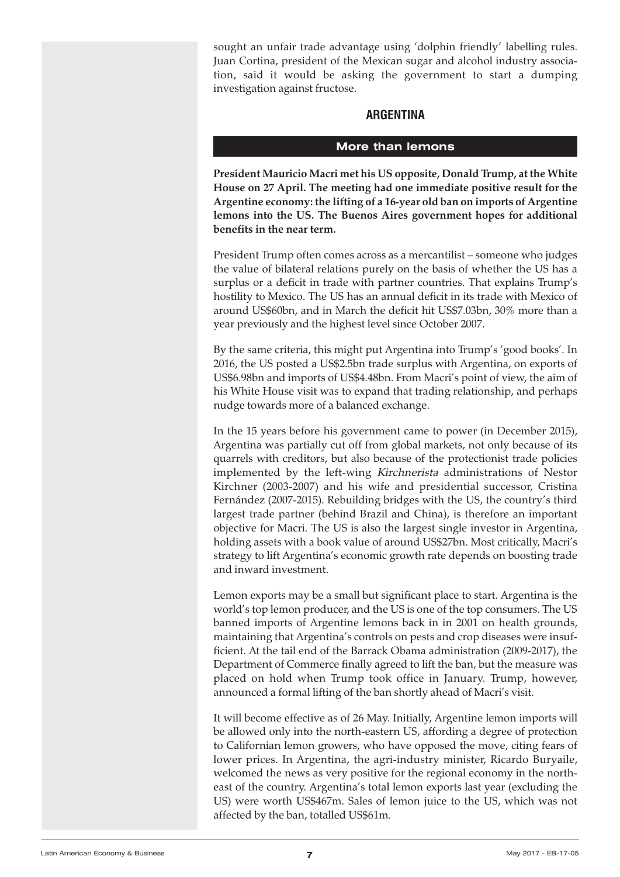<span id="page-6-0"></span>sought an unfair trade advantage using 'dolphin friendly' labelling rules. Juan Cortina, president of the Mexican sugar and alcohol industry association, said it would be asking the government to start a dumping investigation against fructose.

#### **ARGENTINA**

#### **More than lemons**

**President Mauricio Macri met his US opposite, Donald Trump, at the White House on 27 April. The meeting had one immediate positive result for the Argentine economy: the lifting of a 16-year old ban on imports of Argentine lemons into the US. The Buenos Aires government hopes for additional benefits in the near term.**

President Trump often comes across as a mercantilist – someone who judges the value of bilateral relations purely on the basis of whether the US has a surplus or a deficit in trade with partner countries. That explains Trump's hostility to Mexico. The US has an annual deficit in its trade with Mexico of around US\$60bn, and in March the deficit hit US\$7.03bn, 30% more than a year previously and the highest level since October 2007.

By the same criteria, this might put Argentina into Trump's 'good books'. In 2016, the US posted a US\$2.5bn trade surplus with Argentina, on exports of US\$6.98bn and imports of US\$4.48bn. From Macri's point of view, the aim of his White House visit was to expand that trading relationship, and perhaps nudge towards more of a balanced exchange.

In the 15 years before his government came to power (in December 2015), Argentina was partially cut off from global markets, not only because of its quarrels with creditors, but also because of the protectionist trade policies implemented by the left-wing Kirchnerista administrations of Nestor Kirchner (2003-2007) and his wife and presidential successor, Cristina Fernández (2007-2015). Rebuilding bridges with the US, the country's third largest trade partner (behind Brazil and China), is therefore an important objective for Macri. The US is also the largest single investor in Argentina, holding assets with a book value of around US\$27bn. Most critically, Macri's strategy to lift Argentina's economic growth rate depends on boosting trade and inward investment.

Lemon exports may be a small but significant place to start. Argentina is the world's top lemon producer, and the US is one of the top consumers. The US banned imports of Argentine lemons back in in 2001 on health grounds, maintaining that Argentina's controls on pests and crop diseases were insufficient. At the tail end of the Barrack Obama administration (2009-2017), the Department of Commerce finally agreed to lift the ban, but the measure was placed on hold when Trump took office in January. Trump, however, announced a formal lifting of the ban shortly ahead of Macri's visit.

It will become effective as of 26 May. Initially, Argentine lemon imports will be allowed only into the north-eastern US, affording a degree of protection to Californian lemon growers, who have opposed the move, citing fears of lower prices. In Argentina, the agri-industry minister, Ricardo Buryaile, welcomed the news as very positive for the regional economy in the northeast of the country. Argentina's total lemon exports last year (excluding the US) were worth US\$467m. Sales of lemon juice to the US, which was not affected by the ban, totalled US\$61m.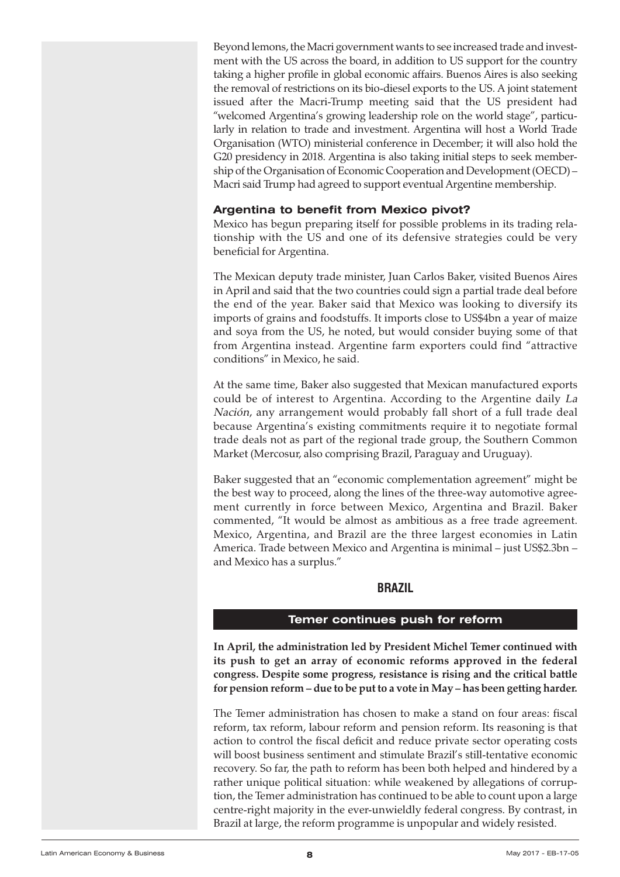<span id="page-7-0"></span>Beyond lemons, the Macri government wants to see increased trade and investment with the US across the board, in addition to US support for the country taking a higher profile in global economic affairs. Buenos Aires is also seeking the removal of restrictions on its bio-diesel exports to the US. A joint statement issued after the Macri-Trump meeting said that the US president had "welcomed Argentina's growing leadership role on the world stage", particularly in relation to trade and investment. Argentina will host a World Trade Organisation (WTO) ministerial conference in December; it will also hold the G20 presidency in 2018. Argentina is also taking initial steps to seek membership of the Organisation of Economic Cooperation and Development (OECD) – Macri said Trump had agreed to support eventual Argentine membership.

#### **Argentina to benefit from Mexico pivot?**

Mexico has begun preparing itself for possible problems in its trading relationship with the US and one of its defensive strategies could be very beneficial for Argentina.

The Mexican deputy trade minister, Juan Carlos Baker, visited Buenos Aires in April and said that the two countries could sign a partial trade deal before the end of the year. Baker said that Mexico was looking to diversify its imports of grains and foodstuffs. It imports close to US\$4bn a year of maize and soya from the US, he noted, but would consider buying some of that from Argentina instead. Argentine farm exporters could find "attractive conditions" in Mexico, he said.

At the same time, Baker also suggested that Mexican manufactured exports could be of interest to Argentina. According to the Argentine daily La Nación, any arrangement would probably fall short of a full trade deal because Argentina's existing commitments require it to negotiate formal trade deals not as part of the regional trade group, the Southern Common Market (Mercosur, also comprising Brazil, Paraguay and Uruguay).

Baker suggested that an "economic complementation agreement" might be the best way to proceed, along the lines of the three-way automotive agreement currently in force between Mexico, Argentina and Brazil. Baker commented, "It would be almost as ambitious as a free trade agreement. Mexico, Argentina, and Brazil are the three largest economies in Latin America. Trade between Mexico and Argentina is minimal – just US\$2.3bn – and Mexico has a surplus."

#### **BRAZIL**

#### **Temer continues push for reform**

**In April, the administration led by President Michel Temer continued with its push to get an array of economic reforms approved in the federal congress. Despite some progress, resistance is rising and the critical battle for pension reform – due to be put to a vote in May – has been getting harder.**

The Temer administration has chosen to make a stand on four areas: fiscal reform, tax reform, labour reform and pension reform. Its reasoning is that action to control the fiscal deficit and reduce private sector operating costs will boost business sentiment and stimulate Brazil's still-tentative economic recovery. So far, the path to reform has been both helped and hindered by a rather unique political situation: while weakened by allegations of corruption, the Temer administration has continued to be able to count upon a large centre-right majority in the ever-unwieldly federal congress. By contrast, in Brazil at large, the reform programme is unpopular and widely resisted.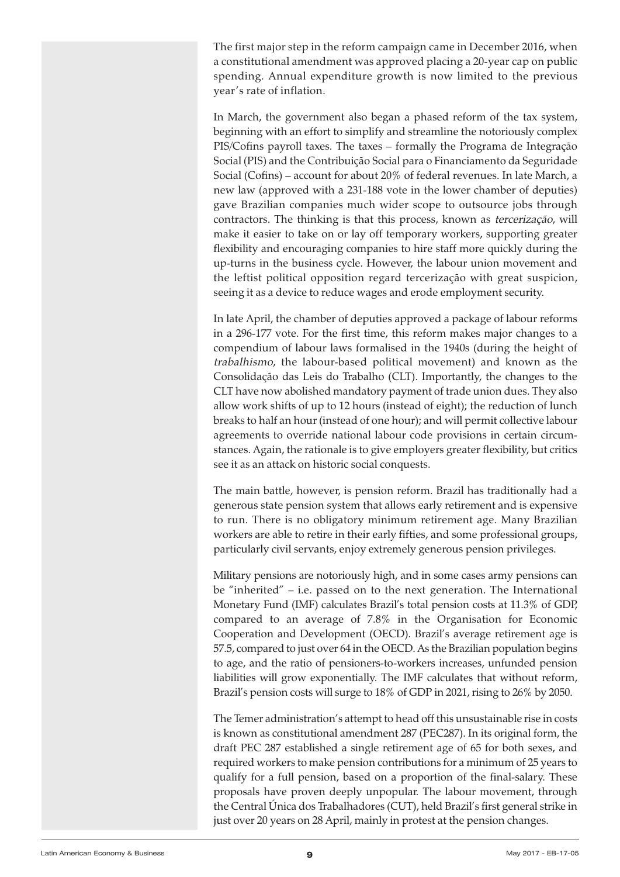The first major step in the reform campaign came in December 2016, when a constitutional amendment was approved placing a 20-year cap on public spending. Annual expenditure growth is now limited to the previous year's rate of inflation.

In March, the government also began a phased reform of the tax system, beginning with an effort to simplify and streamline the notoriously complex PIS/Cofins payroll taxes. The taxes – formally the Programa de Integração Social (PIS) and the Contribuição Social para o Financiamento da Seguridade Social (Cofins) – account for about 20% of federal revenues. In late March, a new law (approved with a 231-188 vote in the lower chamber of deputies) gave Brazilian companies much wider scope to outsource jobs through contractors. The thinking is that this process, known as tercerização, will make it easier to take on or lay off temporary workers, supporting greater flexibility and encouraging companies to hire staff more quickly during the up-turns in the business cycle. However, the labour union movement and the leftist political opposition regard tercerização with great suspicion, seeing it as a device to reduce wages and erode employment security.

In late April, the chamber of deputies approved a package of labour reforms in a 296-177 vote. For the first time, this reform makes major changes to a compendium of labour laws formalised in the 1940s (during the height of trabalhismo, the labour-based political movement) and known as the Consolidação das Leis do Trabalho (CLT). Importantly, the changes to the CLT have now abolished mandatory payment of trade union dues. They also allow work shifts of up to 12 hours (instead of eight); the reduction of lunch breaks to half an hour (instead of one hour); and will permit collective labour agreements to override national labour code provisions in certain circumstances. Again, the rationale is to give employers greater flexibility, but critics see it as an attack on historic social conquests.

The main battle, however, is pension reform. Brazil has traditionally had a generous state pension system that allows early retirement and is expensive to run. There is no obligatory minimum retirement age. Many Brazilian workers are able to retire in their early fifties, and some professional groups, particularly civil servants, enjoy extremely generous pension privileges.

Military pensions are notoriously high, and in some cases army pensions can be "inherited" – i.e. passed on to the next generation. The International Monetary Fund (IMF) calculates Brazil's total pension costs at 11.3% of GDP, compared to an average of 7.8% in the Organisation for Economic Cooperation and Development (OECD). Brazil's average retirement age is 57.5, compared to just over 64 in the OECD. As the Brazilian population begins to age, and the ratio of pensioners-to-workers increases, unfunded pension liabilities will grow exponentially. The IMF calculates that without reform, Brazil's pension costs will surge to 18% of GDP in 2021, rising to 26% by 2050.

The Temer administration's attempt to head off this unsustainable rise in costs is known as constitutional amendment 287 (PEC287). In its original form, the draft PEC 287 established a single retirement age of 65 for both sexes, and required workers to make pension contributions for a minimum of 25 years to qualify for a full pension, based on a proportion of the final-salary. These proposals have proven deeply unpopular. The labour movement, through the Central Única dos Trabalhadores (CUT), held Brazil's first general strike in just over 20 years on 28 April, mainly in protest at the pension changes.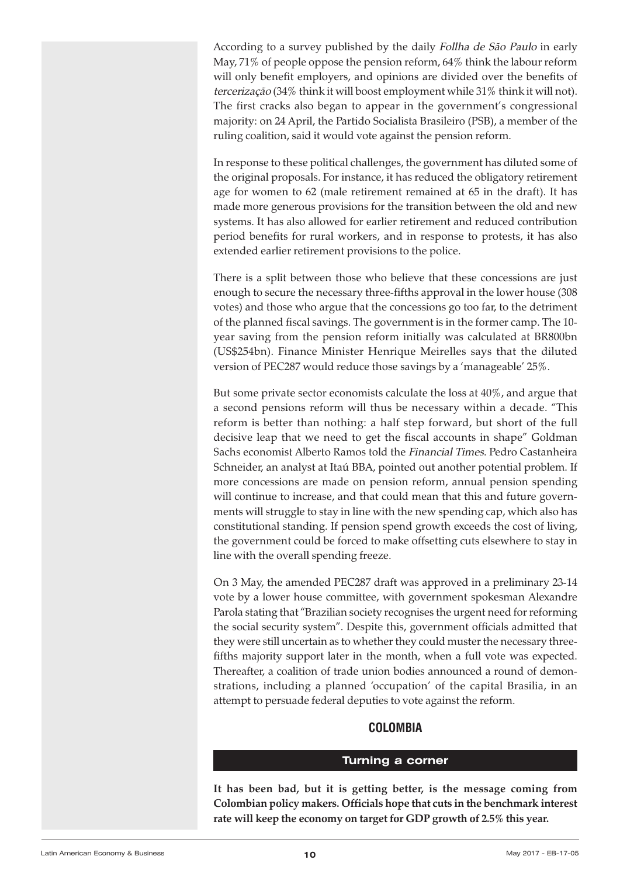<span id="page-9-0"></span>According to a survey published by the daily Follha de São Paulo in early May, 71% of people oppose the pension reform, 64% think the labour reform will only benefit employers, and opinions are divided over the benefits of tercerização (34% think it will boost employment while 31% think it will not). The first cracks also began to appear in the government's congressional majority: on 24 April, the Partido Socialista Brasileiro (PSB), a member of the ruling coalition, said it would vote against the pension reform.

In response to these political challenges, the government has diluted some of the original proposals. For instance, it has reduced the obligatory retirement age for women to 62 (male retirement remained at 65 in the draft). It has made more generous provisions for the transition between the old and new systems. It has also allowed for earlier retirement and reduced contribution period benefits for rural workers, and in response to protests, it has also extended earlier retirement provisions to the police.

There is a split between those who believe that these concessions are just enough to secure the necessary three-fifths approval in the lower house (308 votes) and those who argue that the concessions go too far, to the detriment of the planned fiscal savings. The government is in the former camp. The 10 year saving from the pension reform initially was calculated at BR800bn (US\$254bn). Finance Minister Henrique Meirelles says that the diluted version of PEC287 would reduce those savings by a 'manageable' 25%.

But some private sector economists calculate the loss at 40%, and argue that a second pensions reform will thus be necessary within a decade. "This reform is better than nothing: a half step forward, but short of the full decisive leap that we need to get the fiscal accounts in shape" Goldman Sachs economist Alberto Ramos told the Financial Times. Pedro Castanheira Schneider, an analyst at Itaú BBA, pointed out another potential problem. If more concessions are made on pension reform, annual pension spending will continue to increase, and that could mean that this and future governments will struggle to stay in line with the new spending cap, which also has constitutional standing. If pension spend growth exceeds the cost of living, the government could be forced to make offsetting cuts elsewhere to stay in line with the overall spending freeze.

On 3 May, the amended PEC287 draft was approved in a preliminary 23-14 vote by a lower house committee, with government spokesman Alexandre Parola stating that "Brazilian society recognises the urgent need forreforming the social security system". Despite this, government officials admitted that they were still uncertain as to whether they could muster the necessary threefifths majority support later in the month, when a full vote was expected. Thereafter, a coalition of trade union bodies announced a round of demonstrations, including a planned 'occupation' of the capital Brasilia, in an attempt to persuade federal deputies to vote against the reform.

#### **COLOMBIA**

#### **Turning a corner**

**It has been bad, but it is getting better, is the message coming from Colombian policy makers. Officials hope that cuts in the benchmark interest rate will keep the economy on target for GDP growth of 2.5% this year.**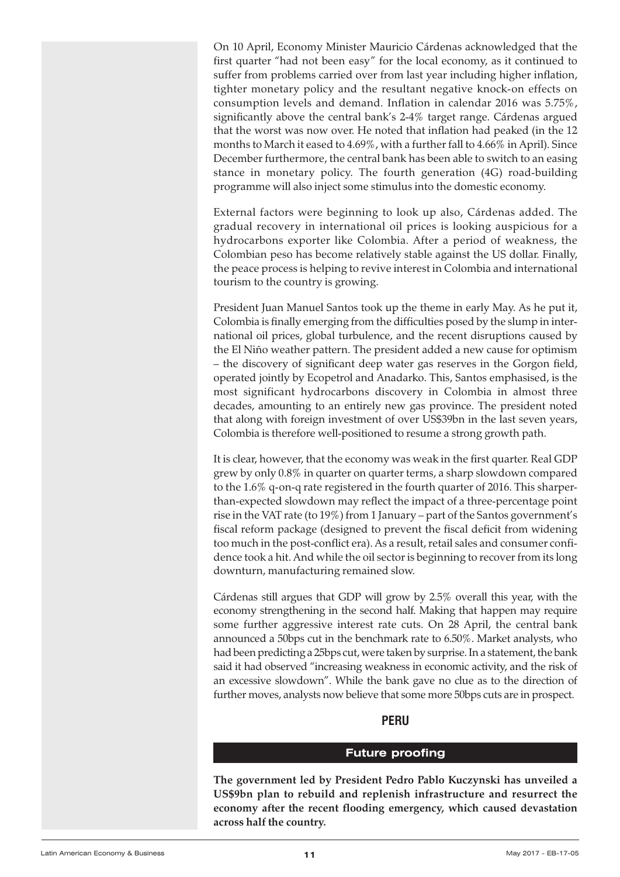<span id="page-10-0"></span>On 10 April, Economy Minister Mauricio Cárdenas acknowledged that the first quarter "had not been easy" for the local economy, as it continued to suffer from problems carried over from last year including higher inflation, tighter monetary policy and the resultant negative knock-on effects on consumption levels and demand. Inflation in calendar 2016 was 5.75%, significantly above the central bank's 2-4% target range. Cárdenas argued that the worst was now over. He noted that inflation had peaked (in the 12 months to March it eased to 4.69%, with a further fall to 4.66% in April). Since December furthermore, the central bank has been able to switch to an easing stance in monetary policy. The fourth generation (4G) road-building programme will also inject some stimulus into the domestic economy.

External factors were beginning to look up also, Cárdenas added. The gradual recovery in international oil prices is looking auspicious for a hydrocarbons exporter like Colombia. After a period of weakness, the Colombian peso has become relatively stable against the US dollar. Finally, the peace process is helping to revive interest in Colombia and international tourism to the country is growing.

President Juan Manuel Santos took up the theme in early May. As he put it, Colombia is finally emerging from the difficulties posed by the slump in international oil prices, global turbulence, and the recent disruptions caused by the El Niño weather pattern. The president added a new cause for optimism – the discovery of significant deep water gas reserves in the Gorgon field, operated jointly by Ecopetrol and Anadarko. This, Santos emphasised, is the most significant hydrocarbons discovery in Colombia in almost three decades, amounting to an entirely new gas province. The president noted that along with foreign investment of over US\$39bn in the last seven years, Colombia is therefore well-positioned to resume a strong growth path.

It is clear, however, that the economy was weak in the first quarter. Real GDP grew by only 0.8% in quarter on quarter terms, a sharp slowdown compared to the 1.6% q-on-q rate registered in the fourth quarter of 2016. This sharperthan-expected slowdown may reflect the impact of a three-percentage point rise in the VAT rate (to 19%) from 1 January – part of the Santos government's fiscal reform package (designed to prevent the fiscal deficit from widening too much in the post-conflict era). As a result, retail sales and consumer confidence took a hit. And while the oil sector is beginning to recover from its long downturn, manufacturing remained slow.

Cárdenas still argues that GDP will grow by 2.5% overall this year, with the economy strengthening in the second half. Making that happen may require some further aggressive interest rate cuts. On 28 April, the central bank announced a 50bps cut in the benchmark rate to 6.50%. Market analysts, who had been predicting a 25bps cut, were taken by surprise. In a statement, the bank said it had observed "increasing weakness in economic activity, and the risk of an excessive slowdown". While the bank gave no clue as to the direction of further moves, analysts now believe that some more 50bps cuts are in prospect.

#### **PERU**

#### **Future proofing**

**The government led by President Pedro Pablo Kuczynski has unveiled a US\$9bn plan to rebuild and replenish infrastructure and resurrect the economy after the recent flooding emergency, which caused devastation across half the country.**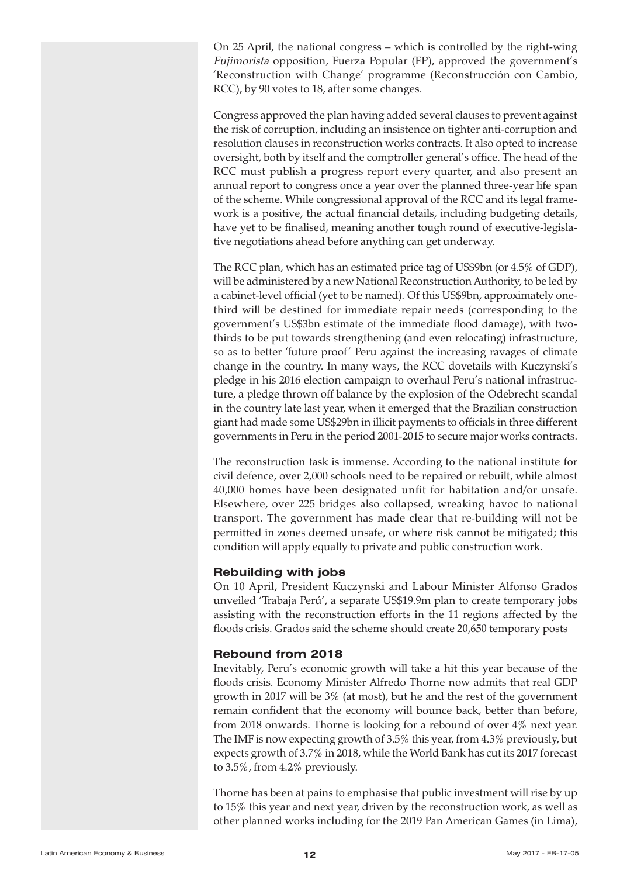On 25 April, the national congress – which is controlled by the right-wing Fujimorista opposition, Fuerza Popular (FP), approved the government's 'Reconstruction with Change' programme (Reconstrucción con Cambio, RCC), by 90 votes to 18, after some changes.

Congress approved the plan having added several clauses to prevent against the risk of corruption, including an insistence on tighter anti-corruption and resolution clauses in reconstruction works contracts. It also opted to increase oversight, both by itself and the comptroller general's office. The head of the RCC must publish a progress report every quarter, and also present an annual report to congress once a year over the planned three-year life span of the scheme. While congressional approval of the RCC and its legal framework is a positive, the actual financial details, including budgeting details, have yet to be finalised, meaning another tough round of executive-legislative negotiations ahead before anything can get underway.

The RCC plan, which has an estimated price tag of US\$9bn (or 4.5% of GDP), will be administered by a new National Reconstruction Authority, to be led by a cabinet-level official (yet to be named). Of this US\$9bn, approximately onethird will be destined for immediate repair needs (corresponding to the government's US\$3bn estimate of the immediate flood damage), with twothirds to be put towards strengthening (and even relocating) infrastructure, so as to better 'future proof' Peru against the increasing ravages of climate change in the country. In many ways, the RCC dovetails with Kuczynski's pledge in his 2016 election campaign to overhaul Peru's national infrastructure, a pledge thrown off balance by the explosion of the Odebrecht scandal in the country late last year, when it emerged that the Brazilian construction giant had made some US\$29bn in illicit payments to officials in three different governments in Peru in the period 2001-2015 to secure major works contracts.

The reconstruction task is immense. According to the national institute for civil defence, over 2,000 schools need to be repaired or rebuilt, while almost 40,000 homes have been designated unfit for habitation and/or unsafe. Elsewhere, over 225 bridges also collapsed, wreaking havoc to national transport. The government has made clear that re-building will not be permitted in zones deemed unsafe, or where risk cannot be mitigated; this condition will apply equally to private and public construction work.

#### **Rebuilding with jobs**

On 10 April, President Kuczynski and Labour Minister Alfonso Grados unveiled 'Trabaja Perú', a separate US\$19.9m plan to create temporary jobs assisting with the reconstruction efforts in the 11 regions affected by the floods crisis. Grados said the scheme should create 20,650 temporary posts

#### **Rebound from 2018**

Inevitably, Peru's economic growth will take a hit this year because of the floods crisis. Economy Minister Alfredo Thorne now admits that real GDP growth in 2017 will be 3% (at most), but he and the rest of the government remain confident that the economy will bounce back, better than before, from 2018 onwards. Thorne is looking for a rebound of over 4% next year. The IMF is now expecting growth of 3.5% this year, from 4.3% previously, but expects growth of 3.7% in 2018, while the World Bank has cut its 2017 forecast to 3.5%, from 4.2% previously.

Thorne has been at pains to emphasise that public investment will rise by up to 15% this year and next year, driven by the reconstruction work, as well as other planned works including for the 2019 Pan American Games (in Lima),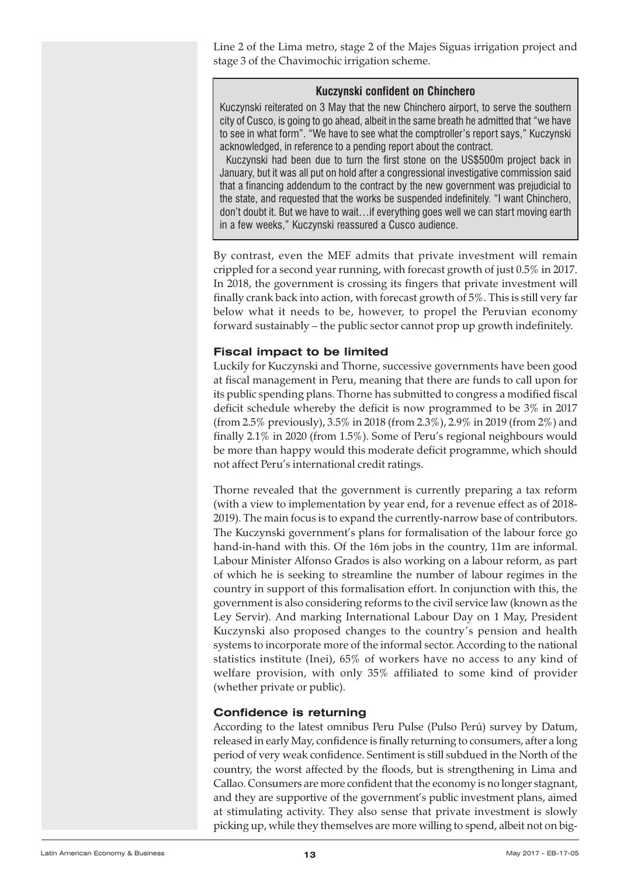Line 2 of the Lima metro, stage 2 of the Majes Siguas irrigation project and stage 3 of the Chavimochic irrigation scheme.

#### **Kuczynski confident on Chinchero**

Kuczynski reiterated on 3 May that the new Chinchero airport, to serve the southern city of Cusco, is going to go ahead, albeit in the same breath he admitted that"we have to see in what form". "We have to see what the comptroller's report says," Kuczynski acknowledged, in reference to a pending report about the contract.

Kuczynski had been due to turn the first stone on the US\$500m project back in January, but it was all put on hold after a congressional investigative commission said that a financing addendum to the contract by the new government was prejudicial to the state, and requested that the works be suspended indefinitely. "I want Chinchero, don't doubt it. But we have to wait…if everything goes well we can start moving earth in a few weeks," Kuczynski reassured a Cusco audience.

By contrast, even the MEF admits that private investment will remain crippled for a second year running, with forecast growth of just 0.5% in 2017. In 2018, the government is crossing its fingers that private investment will finally crank back into action, with forecast growth of 5%. This is still very far below what it needs to be, however, to propel the Peruvian economy forward sustainably – the public sector cannot prop up growth indefinitely.

#### **Fiscal impact to be limited**

Luckily for Kuczynski and Thorne, successive governments have been good at fiscal management in Peru, meaning that there are funds to call upon for its public spending plans. Thorne has submitted to congress a modified fiscal deficit schedule whereby the deficit is now programmed to be 3% in 2017 (from 2.5% previously), 3.5% in 2018 (from 2.3%), 2.9% in 2019 (from 2%) and finally 2.1% in 2020 (from 1.5%). Some of Peru's regional neighbours would be more than happy would this moderate deficit programme, which should not affect Peru's international credit ratings.

Thorne revealed that the government is currently preparing a tax reform (with a view to implementation by year end, for a revenue effect as of 2018- 2019). The main focus is to expand the currently-narrow base of contributors. The Kuczynski government's plans for formalisation of the labour force go hand-in-hand with this. Of the 16m jobs in the country, 11m are informal. Labour Minister Alfonso Grados is also working on a labour reform, as part of which he is seeking to streamline the number of labour regimes in the country in support of this formalisation effort. In conjunction with this, the government is also considering reforms to the civil service law (known as the Ley Servir). And marking International Labour Day on 1 May, President Kuczynski also proposed changes to the country's pension and health systems to incorporate more of the informal sector. According to the national statistics institute (Inei), 65% of workers have no access to any kind of welfare provision, with only 35% affiliated to some kind of provider (whether private or public).

#### **Confidence is returning**

According to the latest omnibus Peru Pulse (Pulso Perú) survey by Datum, released in early May, confidence is finally returning to consumers, after a long period of very weak confidence. Sentiment is still subdued in the North of the country, the worst affected by the floods, but is strengthening in Lima and Callao. Consumers are more confident that the economy is no longer stagnant, and they are supportive of the government's public investment plans, aimed at stimulating activity. They also sense that private investment is slowly picking up, while they themselves are more willing to spend, albeit not on big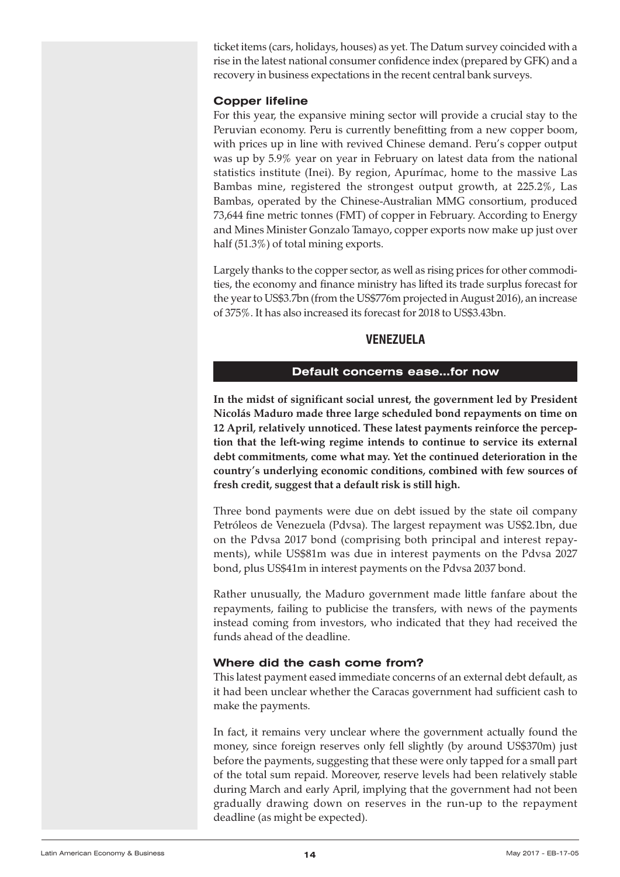<span id="page-13-0"></span>ticket items (cars, holidays, houses) as yet. The Datum survey coincided with a rise in the latest national consumer confidence index (prepared by GFK) and a recovery in business expectations in the recent central bank surveys.

#### **Copper lifeline**

For this year, the expansive mining sector will provide a crucial stay to the Peruvian economy. Peru is currently benefitting from a new copper boom, with prices up in line with revived Chinese demand. Peru's copper output was up by 5.9% year on year in February on latest data from the national statistics institute (Inei). By region, Apurímac, home to the massive Las Bambas mine, registered the strongest output growth, at 225.2%, Las Bambas, operated by the Chinese-Australian MMG consortium, produced 73,644 fine metric tonnes (FMT) of copper in February. According to Energy and Mines Minister Gonzalo Tamayo, copper exports now make up just over half (51.3%) of total mining exports.

Largely thanks to the copper sector, as well as rising prices for other commodities, the economy and finance ministry has lifted its trade surplus forecast for the year to US\$3.7bn (from the US\$776m projected in August 2016), an increase of 375%. It has also increased its forecast for 2018 to US\$3.43bn.

#### **VENEZUELA**

#### **Default concerns ease…for now**

**In the midst of significant social unrest, the government led by President Nicolás Maduro made three large scheduled bond repayments on time on 12 April, relatively unnoticed. These latest payments reinforce the perception that the left-wing regime intends to continue to service its external debt commitments, come what may. Yet the continued deterioration in the country's underlying economic conditions, combined with few sources of fresh credit, suggest that a default risk is still high.**

Three bond payments were due on debt issued by the state oil company Petróleos de Venezuela (Pdvsa). The largest repayment was US\$2.1bn, due on the Pdvsa 2017 bond (comprising both principal and interest repayments), while US\$81m was due in interest payments on the Pdvsa 2027 bond, plus US\$41m in interest payments on the Pdvsa 2037 bond.

Rather unusually, the Maduro government made little fanfare about the repayments, failing to publicise the transfers, with news of the payments instead coming from investors, who indicated that they had received the funds ahead of the deadline.

#### **Where did the cash come from?**

This latest payment eased immediate concerns of an external debt default, as it had been unclear whether the Caracas government had sufficient cash to make the payments.

In fact, it remains very unclear where the government actually found the money, since foreign reserves only fell slightly (by around US\$370m) just before the payments, suggesting that these were only tapped for a small part of the total sum repaid. Moreover, reserve levels had been relatively stable during March and early April, implying that the government had not been gradually drawing down on reserves in the run-up to the repayment deadline (as might be expected).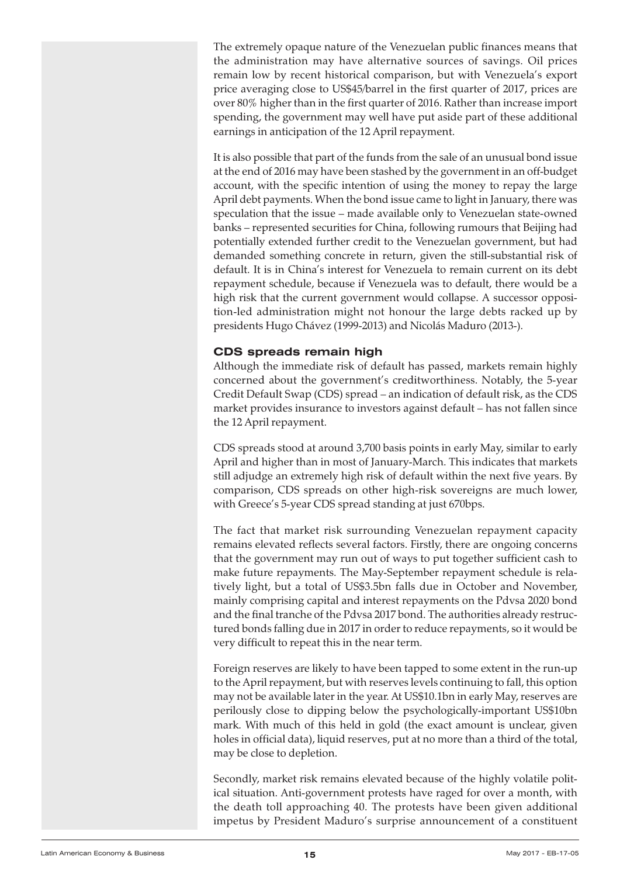The extremely opaque nature of the Venezuelan public finances means that the administration may have alternative sources of savings. Oil prices remain low by recent historical comparison, but with Venezuela's export price averaging close to US\$45/barrel in the first quarter of 2017, prices are over 80% higher than in the first quarter of 2016. Rather than increase import spending, the government may well have put aside part of these additional earnings in anticipation of the 12 April repayment.

It is also possible that part of the funds from the sale of an unusual bond issue at the end of 2016 may have been stashed by the government in an off-budget account, with the specific intention of using the money to repay the large April debt payments. When the bond issue came to light in January, there was speculation that the issue – made available only to Venezuelan state-owned banks – represented securities for China, following rumours that Beijing had potentially extended further credit to the Venezuelan government, but had demanded something concrete in return, given the still-substantial risk of default. It is in China's interest for Venezuela to remain current on its debt repayment schedule, because if Venezuela was to default, there would be a high risk that the current government would collapse. A successor opposition-led administration might not honour the large debts racked up by presidents Hugo Chávez (1999-2013) and Nicolás Maduro (2013-).

#### **CDS spreads remain high**

Although the immediate risk of default has passed, markets remain highly concerned about the government's creditworthiness. Notably, the 5-year Credit Default Swap (CDS) spread – an indication of default risk, as the CDS market provides insurance to investors against default – has not fallen since the 12 April repayment.

CDS spreads stood at around 3,700 basis points in early May, similar to early April and higher than in most of January-March. This indicates that markets still adjudge an extremely high risk of default within the next five years. By comparison, CDS spreads on other high-risk sovereigns are much lower, with Greece's 5-year CDS spread standing at just 670bps.

The fact that market risk surrounding Venezuelan repayment capacity remains elevated reflects several factors. Firstly, there are ongoing concerns that the government may run out of ways to put together sufficient cash to make future repayments. The May-September repayment schedule is relatively light, but a total of US\$3.5bn falls due in October and November, mainly comprising capital and interest repayments on the Pdvsa 2020 bond and the final tranche of the Pdvsa 2017 bond. The authorities already restructured bonds falling due in 2017 in order to reduce repayments, so it would be very difficult to repeat this in the near term.

Foreign reserves are likely to have been tapped to some extent in the run-up to the April repayment, but with reserves levels continuing to fall, this option may not be available later in the year. At US\$10.1bn in early May, reserves are perilously close to dipping below the psychologically-important US\$10bn mark. With much of this held in gold (the exact amount is unclear, given holes in official data), liquid reserves, put at no more than a third of the total, may be close to depletion.

Secondly, market risk remains elevated because of the highly volatile political situation. Anti-government protests have raged for over a month, with the death toll approaching 40. The protests have been given additional impetus by President Maduro's surprise announcement of a constituent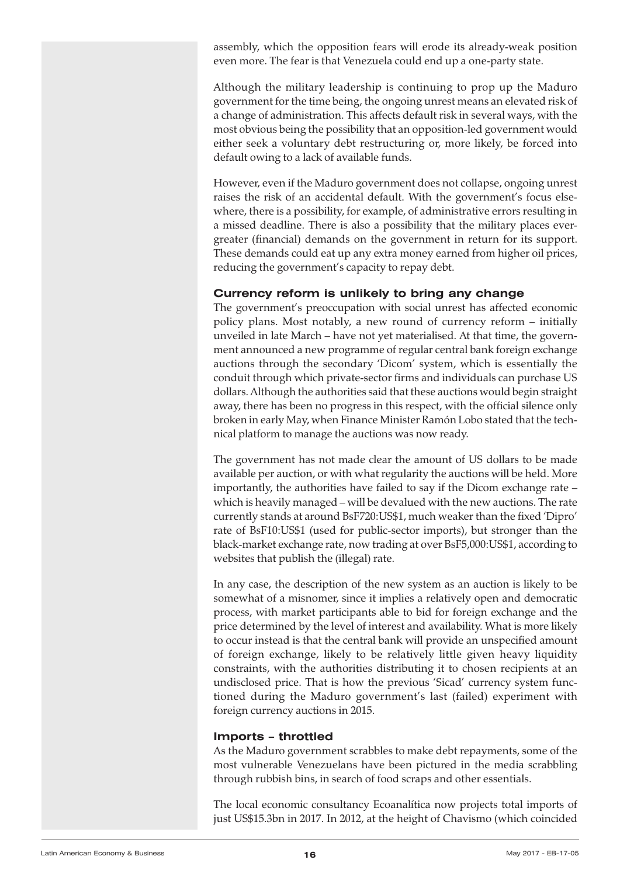assembly, which the opposition fears will erode its already-weak position even more. The fear is that Venezuela could end up a one-party state.

Although the military leadership is continuing to prop up the Maduro government for the time being, the ongoing unrest means an elevated risk of a change of administration. This affects default risk in several ways, with the most obvious being the possibility that an opposition-led government would either seek a voluntary debt restructuring or, more likely, be forced into default owing to a lack of available funds.

However, even if the Maduro government does not collapse, ongoing unrest raises the risk of an accidental default. With the government's focus elsewhere, there is a possibility, for example, of administrative errors resulting in a missed deadline. There is also a possibility that the military places evergreater (financial) demands on the government in return for its support. These demands could eat up any extra money earned from higher oil prices, reducing the government's capacity to repay debt.

#### **Currency reform is unlikely to bring any change**

The government's preoccupation with social unrest has affected economic policy plans. Most notably, a new round of currency reform – initially unveiled in late March – have not yet materialised. At that time, the government announced a new programme of regular central bank foreign exchange auctions through the secondary 'Dicom' system, which is essentially the conduit through which private-sector firms and individuals can purchase US dollars. Although the authorities said that these auctions would begin straight away, there has been no progress in this respect, with the official silence only broken in early May, when Finance Minister Ramón Lobo stated that the technical platform to manage the auctions was now ready.

The government has not made clear the amount of US dollars to be made available per auction, or with what regularity the auctions will be held. More importantly, the authorities have failed to say if the Dicom exchange rate – which is heavily managed – will be devalued with the new auctions. The rate currently stands at around BsF720:US\$1, much weaker than the fixed 'Dipro' rate of BsF10:US\$1 (used for public-sector imports), but stronger than the black-market exchange rate, now trading at over BsF5,000:US\$1, according to websites that publish the (illegal) rate.

In any case, the description of the new system as an auction is likely to be somewhat of a misnomer, since it implies a relatively open and democratic process, with market participants able to bid for foreign exchange and the price determined by the level of interest and availability. What is more likely to occur instead is that the central bank will provide an unspecified amount of foreign exchange, likely to be relatively little given heavy liquidity constraints, with the authorities distributing it to chosen recipients at an undisclosed price. That is how the previous 'Sicad' currency system functioned during the Maduro government's last (failed) experiment with foreign currency auctions in 2015.

#### **Imports – throttled**

As the Maduro government scrabbles to make debt repayments, some of the most vulnerable Venezuelans have been pictured in the media scrabbling through rubbish bins, in search of food scraps and other essentials.

The local economic consultancy Ecoanalítica now projects total imports of just US\$15.3bn in 2017. In 2012, at the height of Chavismo (which coincided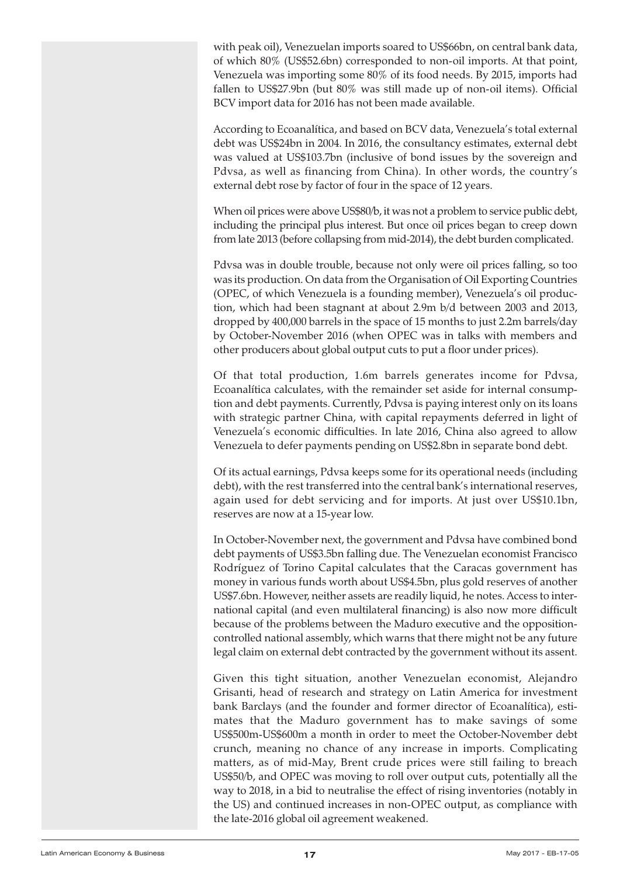<span id="page-16-0"></span>with peak oil), Venezuelan imports soared to US\$66bn, on central bank data, of which 80% (US\$52.6bn) corresponded to non-oil imports. At that point, Venezuela was importing some 80% of its food needs. By 2015, imports had fallen to US\$27.9bn (but 80% was still made up of non-oil items). Official BCV import data for 2016 has not been made available.

According to Ecoanalítica, and based on BCV data, Venezuela's total external debt was US\$24bn in 2004. In 2016, the consultancy estimates, external debt was valued at US\$103.7bn (inclusive of bond issues by the sovereign and Pdvsa, as well as financing from China). In other words, the country's external debt rose by factor of four in the space of 12 years.

When oil prices were above US\$80/b, it was not a problem to service public debt, including the principal plus interest. But once oil prices began to creep down from late 2013 (before collapsing from mid-2014), the debt burden complicated.

Pdvsa was in double trouble, because not only were oil prices falling, so too was its production. On data from the Organisation of Oil Exporting Countries (OPEC, of which Venezuela is a founding member), Venezuela's oil production, which had been stagnant at about 2.9m b/d between 2003 and 2013, dropped by 400,000 barrels in the space of 15 months to just 2.2m barrels/day by October-November 2016 (when OPEC was in talks with members and other producers about global output cuts to put a floor under prices).

Of that total production, 1.6m barrels generates income for Pdvsa, Ecoanalítica calculates, with the remainder set aside for internal consumption and debt payments. Currently, Pdvsa is paying interest only on its loans with strategic partner China, with capital repayments deferred in light of Venezuela's economic difficulties. In late 2016, China also agreed to allow Venezuela to defer payments pending on US\$2.8bn in separate bond debt.

Of its actual earnings, Pdvsa keeps some for its operational needs (including debt), with the rest transferred into the central bank's international reserves, again used for debt servicing and for imports. At just over US\$10.1bn, reserves are now at a 15-year low.

In October-November next, the government and Pdvsa have combined bond debt payments of US\$3.5bn falling due. The Venezuelan economist Francisco Rodríguez of Torino Capital calculates that the Caracas government has money in various funds worth about US\$4.5bn, plus gold reserves of another US\$7.6bn. However, neither assets are readily liquid, he notes. Access to international capital (and even multilateral financing) is also now more difficult because of the problems between the Maduro executive and the oppositioncontrolled national assembly, which warns that there might not be any future legal claim on external debt contracted by the government without its assent.

Given this tight situation, another Venezuelan economist, Alejandro Grisanti, head of research and strategy on Latin America for investment bank Barclays (and the founder and former director of Ecoanalítica), estimates that the Maduro government has to make savings of some US\$500m-US\$600m a month in order to meet the October-November debt crunch, meaning no chance of any increase in imports. Complicating matters, as of mid-May, Brent crude prices were still failing to breach US\$50/b, and OPEC was moving to roll over output cuts, potentially all the way to 2018, in a bid to neutralise the effect of rising inventories (notably in the US) and continued increases in non-OPEC output, as compliance with the late-2016 global oil agreement weakened.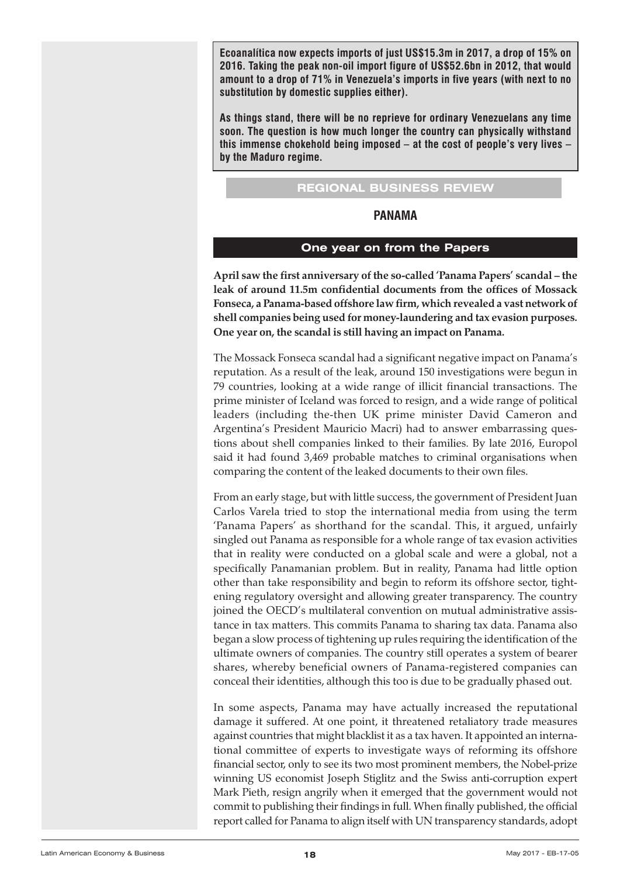<span id="page-17-0"></span>**Ecoanalítica now expects imports of just US\$15.3m in 2017, a drop of 15% on 2016. Taking the peak non-oil import figure of US\$52.6bn in 2012, that would amount to a drop of 71% in Venezuela's imports in five years (with next to no substitution by domestic supplies either).**

**As things stand, there will be no reprieve for ordinary Venezuelans any time soon. The question is how much longer the country can physically withstand this immense chokehold being imposed – at the cost of people's very lives – by the Maduro regime.**

### **REGIONAL BUSINESS REVIEW**

#### **PANAMA**

#### **One year on from the Papers**

**April saw the first anniversary of the so-called 'Panama Papers' scandal – the leak of around 11.5m confidential documents from the offices of Mossack Fonseca, a Panama-based offshore law firm, which revealed a vast network of shell companies being used for money-laundering and tax evasion purposes. One year on, the scandal is still having an impact on Panama.**

The Mossack Fonseca scandal had a significant negative impact on Panama's reputation. As a result of the leak, around 150 investigations were begun in 79 countries, looking at a wide range of illicit financial transactions. The prime minister of Iceland was forced to resign, and a wide range of political leaders (including the-then UK prime minister David Cameron and Argentina's President Mauricio Macri) had to answer embarrassing questions about shell companies linked to their families. By late 2016, Europol said it had found 3,469 probable matches to criminal organisations when comparing the content of the leaked documents to their own files.

From an early stage, but with little success, the government of President Juan Carlos Varela tried to stop the international media from using the term 'Panama Papers' as shorthand for the scandal. This, it argued, unfairly singled out Panama as responsible for a whole range of tax evasion activities that in reality were conducted on a global scale and were a global, not a specifically Panamanian problem. But in reality, Panama had little option other than take responsibility and begin to reform its offshore sector, tightening regulatory oversight and allowing greater transparency. The country joined the OECD's multilateral convention on mutual administrative assistance in tax matters. This commits Panama to sharing tax data. Panama also began a slow process of tightening up rules requiring the identification of the ultimate owners of companies. The country still operates a system of bearer shares, whereby beneficial owners of Panama-registered companies can conceal their identities, although this too is due to be gradually phased out.

In some aspects, Panama may have actually increased the reputational damage it suffered. At one point, it threatened retaliatory trade measures against countries that might blacklist it as a tax haven. It appointed an international committee of experts to investigate ways of reforming its offshore financial sector, only to see its two most prominent members, the Nobel-prize winning US economist Joseph Stiglitz and the Swiss anti-corruption expert Mark Pieth, resign angrily when it emerged that the government would not commit to publishing their findings in full. When finally published, the official report called for Panama to align itself with UN transparency standards, adopt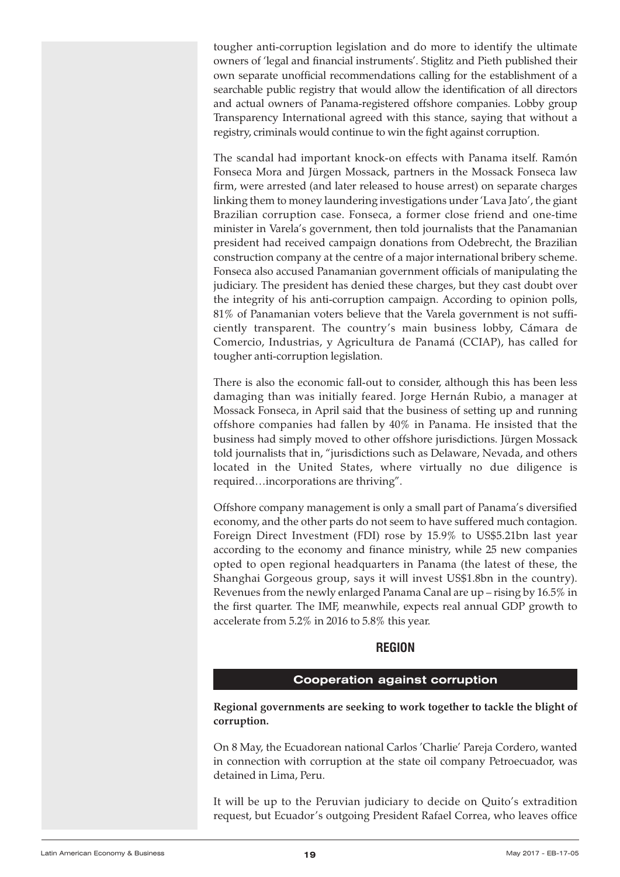<span id="page-18-0"></span>tougher anti-corruption legislation and do more to identify the ultimate owners of 'legal and financial instruments'. Stiglitz and Pieth published their own separate unofficial recommendations calling for the establishment of a searchable public registry that would allow the identification of all directors and actual owners of Panama-registered offshore companies. Lobby group Transparency International agreed with this stance, saying that without a registry, criminals would continue to win the fight against corruption.

The scandal had important knock-on effects with Panama itself. Ramón Fonseca Mora and Jürgen Mossack, partners in the Mossack Fonseca law firm, were arrested (and later released to house arrest) on separate charges linking them to money laundering investigations under 'Lava Jato', the giant Brazilian corruption case. Fonseca, a former close friend and one-time minister in Varela's government, then told journalists that the Panamanian president had received campaign donations from Odebrecht, the Brazilian construction company at the centre of a major international bribery scheme. Fonseca also accused Panamanian government officials of manipulating the judiciary. The president has denied these charges, but they cast doubt over the integrity of his anti-corruption campaign. According to opinion polls, 81% of Panamanian voters believe that the Varela government is not sufficiently transparent. The country's main business lobby, Cámara de Comercio, Industrias, y Agricultura de Panamá (CCIAP), has called for tougher anti-corruption legislation.

There is also the economic fall-out to consider, although this has been less damaging than was initially feared. Jorge Hernán Rubio, a manager at Mossack Fonseca, in April said that the business of setting up and running offshore companies had fallen by 40% in Panama. He insisted that the business had simply moved to other offshore jurisdictions. Jürgen Mossack told journalists that in, "jurisdictions such as Delaware, Nevada, and others located in the United States, where virtually no due diligence is required…incorporations are thriving".

Offshore company management is only a small part of Panama's diversified economy, and the other parts do not seem to have suffered much contagion. Foreign Direct Investment (FDI) rose by 15.9% to US\$5.21bn last year according to the economy and finance ministry, while 25 new companies opted to open regional headquarters in Panama (the latest of these, the Shanghai Gorgeous group, says it will invest US\$1.8bn in the country). Revenues from the newly enlarged Panama Canal are up – rising by 16.5% in the first quarter. The IMF, meanwhile, expects real annual GDP growth to accelerate from 5.2% in 2016 to 5.8% this year.

#### **REGION**

#### **Cooperation against corruption**

**Regional governments are seeking to work together to tackle the blight of corruption.**

On 8 May, the Ecuadorean national Carlos 'Charlie' Pareja Cordero, wanted in connection with corruption at the state oil company Petroecuador, was detained in Lima, Peru.

It will be up to the Peruvian judiciary to decide on Quito's extradition request, but Ecuador's outgoing President Rafael Correa, who leaves office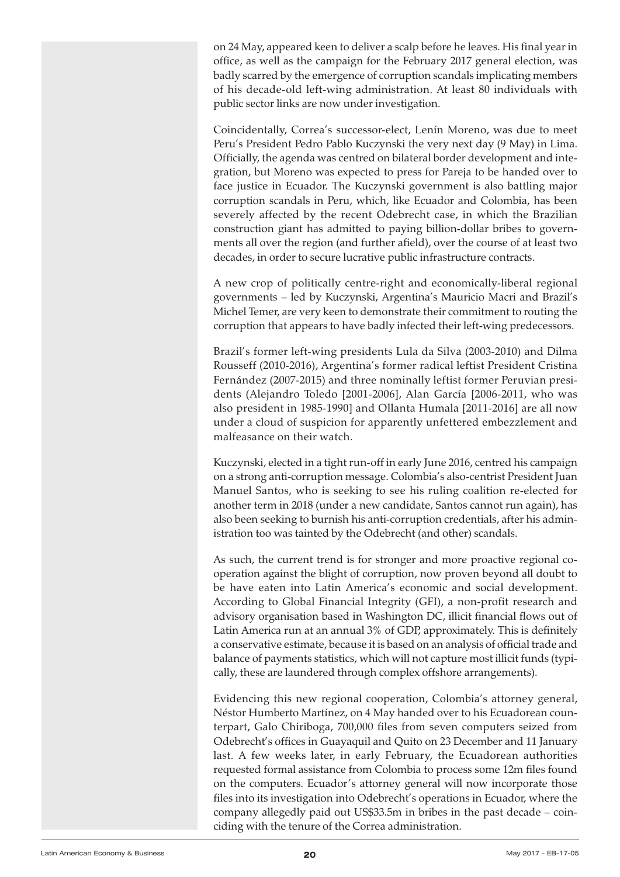<span id="page-19-0"></span>on 24 May, appeared keen to deliver a scalp before he leaves. His final year in office, as well as the campaign for the February 2017 general election, was badly scarred by the emergence of corruption scandals implicating members of his decade-old left-wing administration. At least 80 individuals with public sector links are now under investigation.

Coincidentally, Correa's successor-elect, Lenín Moreno, was due to meet Peru's President Pedro Pablo Kuczynski the very next day (9 May) in Lima. Officially, the agenda was centred on bilateral border development and integration, but Moreno was expected to press for Pareja to be handed over to face justice in Ecuador. The Kuczynski government is also battling major corruption scandals in Peru, which, like Ecuador and Colombia, has been severely affected by the recent Odebrecht case, in which the Brazilian construction giant has admitted to paying billion-dollar bribes to governments all over the region (and further afield), over the course of at least two decades, in order to secure lucrative public infrastructure contracts.

A new crop of politically centre-right and economically-liberal regional governments – led by Kuczynski, Argentina's Mauricio Macri and Brazil's Michel Temer, are very keen to demonstrate their commitment to routing the corruption that appears to have badly infected their left-wing predecessors.

Brazil's former left-wing presidents Lula da Silva (2003-2010) and Dilma Rousseff (2010-2016), Argentina's former radical leftist President Cristina Fernández (2007-2015) and three nominally leftist former Peruvian presidents (Alejandro Toledo [2001-2006], Alan García [2006-2011, who was also president in 1985-1990] and Ollanta Humala [2011-2016] are all now under a cloud of suspicion for apparently unfettered embezzlement and malfeasance on their watch.

Kuczynski, elected in a tight run-off in early June 2016, centred his campaign on a strong anti-corruption message. Colombia's also-centrist President Juan Manuel Santos, who is seeking to see his ruling coalition re-elected for another term in 2018 (under a new candidate, Santos cannot run again), has also been seeking to burnish his anti-corruption credentials, after his administration too was tainted by the Odebrecht (and other) scandals.

As such, the current trend is for stronger and more proactive regional cooperation against the blight of corruption, now proven beyond all doubt to be have eaten into Latin America's economic and social development. According to Global Financial Integrity (GFI), a non-profit research and advisory organisation based in Washington DC, illicit financial flows out of Latin America run at an annual 3% of GDP, approximately. This is definitely a conservative estimate, because it is based on an analysis of official trade and balance of payments statistics, which will not capture most illicit funds (typically, these are laundered through complex offshore arrangements).

Evidencing this new regional cooperation, Colombia's attorney general, Néstor Humberto Martínez, on 4 May handed over to his Ecuadorean counterpart, Galo Chiriboga, 700,000 files from seven computers seized from Odebrecht's offices in Guayaquil and Quito on 23 December and 11 January last. A few weeks later, in early February, the Ecuadorean authorities requested formal assistance from Colombia to process some 12m files found on the computers. Ecuador's attorney general will now incorporate those files into its investigation into Odebrecht's operations in Ecuador, where the company allegedly paid out US\$33.5m in bribes in the past decade – coinciding with the tenure of the Correa administration.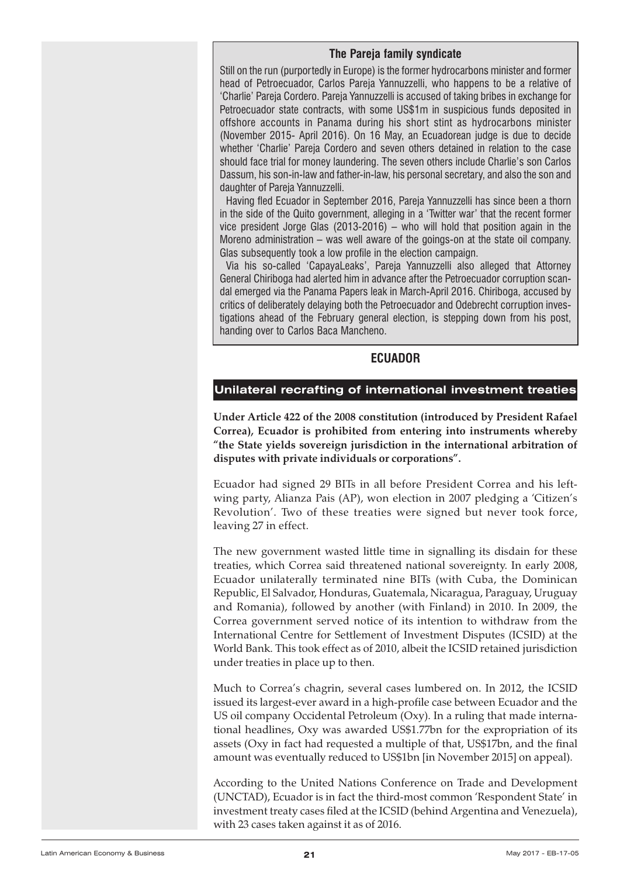#### **The Pareja family syndicate**

<span id="page-20-0"></span>Still on the run (purportedly in Europe) is the former hydrocarbons minister and former head of Petroecuador, Carlos Pareja Yannuzzelli, who happens to be a relative of 'Charlie' Pareja Cordero. Pareja Yannuzzelli is accused of taking bribes in exchange for Petroecuador state contracts, with some US\$1m in suspicious funds deposited in offshore accounts in Panama during his short stint as hydrocarbons minister (November 2015- April 2016). On 16 May, an Ecuadorean judge is due to decide whether 'Charlie' Pareja Cordero and seven others detained in relation to the case should face trial for money laundering. The seven others include Charlie's son Carlos Dassum, his son-in-law and father-in-law, his personal secretary, and also the son and daughter of Pareja Yannuzzelli.

Having fled Ecuador in September 2016, Pareja Yannuzzelli has since been a thorn in the side of the Quito government, alleging in a 'Twitter war' that the recent former vice president Jorge Glas (2013-2016) – who will hold that position again in the Moreno administration – was well aware of the goings-on at the state oil company. Glas subsequently took a low profile in the election campaign.

Via his so-called 'CapayaLeaks', Pareja Yannuzzelli also alleged that Attorney General Chiriboga had alerted him in advance after the Petroecuador corruption scandal emerged via the Panama Papers leak in March-April 2016. Chiriboga, accused by critics of deliberately delaying both the Petroecuador and Odebrecht corruption investigations ahead of the February general election, is stepping down from his post, handing over to Carlos Baca Mancheno.

#### **ECUADOR**

#### **Unilateral recrafting of international investment treaties**

**Under Article 422 of the 2008 constitution (introduced by President Rafael Correa), Ecuador is prohibited from entering into instruments whereby "the State yields sovereign jurisdiction in the international arbitration of disputes with private individuals or corporations".**

Ecuador had signed 29 BITs in all before President Correa and his leftwing party, Alianza Pais (AP), won election in 2007 pledging a 'Citizen's Revolution'. Two of these treaties were signed but never took force, leaving 27 in effect.

The new government wasted little time in signalling its disdain for these treaties, which Correa said threatened national sovereignty. In early 2008, Ecuador unilaterally terminated nine BITs (with Cuba, the Dominican Republic, El Salvador, Honduras, Guatemala, Nicaragua, Paraguay, Uruguay and Romania), followed by another (with Finland) in 2010. In 2009, the Correa government served notice of its intention to withdraw from the International Centre for Settlement of Investment Disputes (ICSID) at the World Bank. This took effect as of 2010, albeit the ICSID retained jurisdiction under treaties in place up to then.

Much to Correa's chagrin, several cases lumbered on. In 2012, the ICSID issued its largest-ever award in a high-profile case between Ecuador and the US oil company Occidental Petroleum (Oxy). In a ruling that made international headlines, Oxy was awarded US\$1.77bn for the expropriation of its assets (Oxy in fact had requested a multiple of that, US\$17bn, and the final amount was eventually reduced to US\$1bn [in November 2015] on appeal).

According to the United Nations Conference on Trade and Development (UNCTAD), Ecuador is in fact the third-most common 'Respondent State' in investment treaty cases filed at the ICSID (behind Argentina and Venezuela), with 23 cases taken against it as of 2016.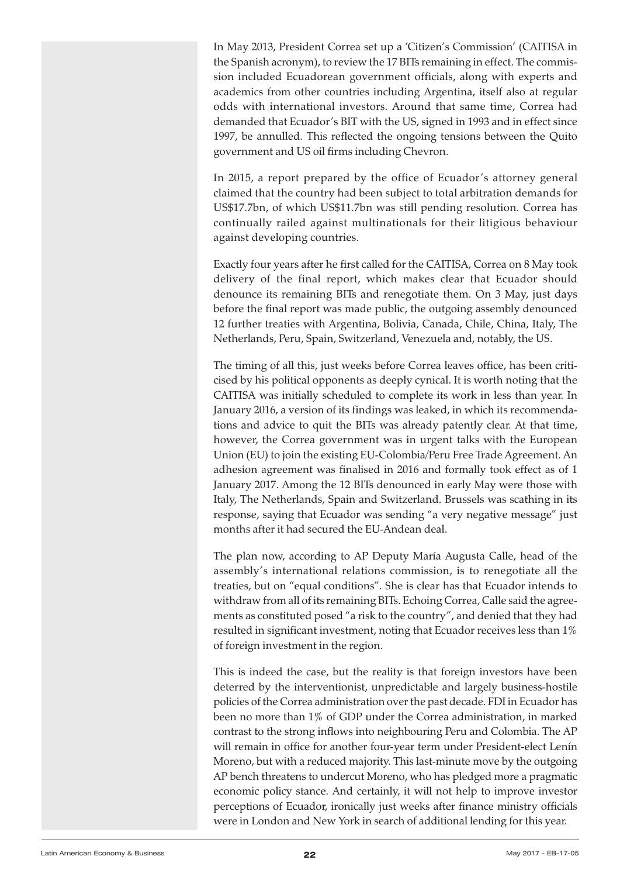<span id="page-21-0"></span>In May 2013, President Correa set up a 'Citizen's Commission' (CAITISA in the Spanish acronym), to review the 17 BITs remaining in effect. The commission included Ecuadorean government officials, along with experts and academics from other countries including Argentina, itself also at regular odds with international investors. Around that same time, Correa had demanded that Ecuador's BIT with the US, signed in 1993 and in effect since 1997, be annulled. This reflected the ongoing tensions between the Quito government and US oil firms including Chevron.

In 2015, a report prepared by the office of Ecuador's attorney general claimed that the country had been subject to total arbitration demands for US\$17.7bn, of which US\$11.7bn was still pending resolution. Correa has continually railed against multinationals for their litigious behaviour against developing countries.

Exactly four years after he first called for the CAITISA, Correa on 8 May took delivery of the final report, which makes clear that Ecuador should denounce its remaining BITs and renegotiate them. On 3 May, just days before the final report was made public, the outgoing assembly denounced 12 further treaties with Argentina, Bolivia, Canada, Chile, China, Italy, The Netherlands, Peru, Spain, Switzerland, Venezuela and, notably, the US.

The timing of all this, just weeks before Correa leaves office, has been criticised by his political opponents as deeply cynical. It is worth noting that the CAITISA was initially scheduled to complete its work in less than year. In January 2016, a version of its findings was leaked, in which its recommendations and advice to quit the BITs was already patently clear. At that time, however, the Correa government was in urgent talks with the European Union (EU) to join the existing EU-Colombia/Peru Free Trade Agreement. An adhesion agreement was finalised in 2016 and formally took effect as of 1 January 2017. Among the 12 BITs denounced in early May were those with Italy, The Netherlands, Spain and Switzerland. Brussels was scathing in its response, saying that Ecuador was sending "a very negative message" just months after it had secured the EU-Andean deal.

The plan now, according to AP Deputy María Augusta Calle, head of the assembly's international relations commission, is to renegotiate all the treaties, but on "equal conditions". She is clear has that Ecuador intends to withdraw from all of its remaining BITs. Echoing Correa, Calle said the agreements as constituted posed "a risk to the country", and denied that they had resulted in significant investment, noting that Ecuador receives less than 1% of foreign investment in the region.

This is indeed the case, but the reality is that foreign investors have been deterred by the interventionist, unpredictable and largely business-hostile policies of the Correa administration overthe past decade. FDI in Ecuador has been no more than 1% of GDP under the Correa administration, in marked contrast to the strong inflows into neighbouring Peru and Colombia. The AP will remain in office for another four-year term under President-elect Lenín Moreno, but with a reduced majority. This last-minute move by the outgoing AP bench threatens to undercut Moreno, who has pledged more a pragmatic economic policy stance. And certainly, it will not help to improve investor perceptions of Ecuador, ironically just weeks after finance ministry officials were in London and New York in search of additional lending for this year.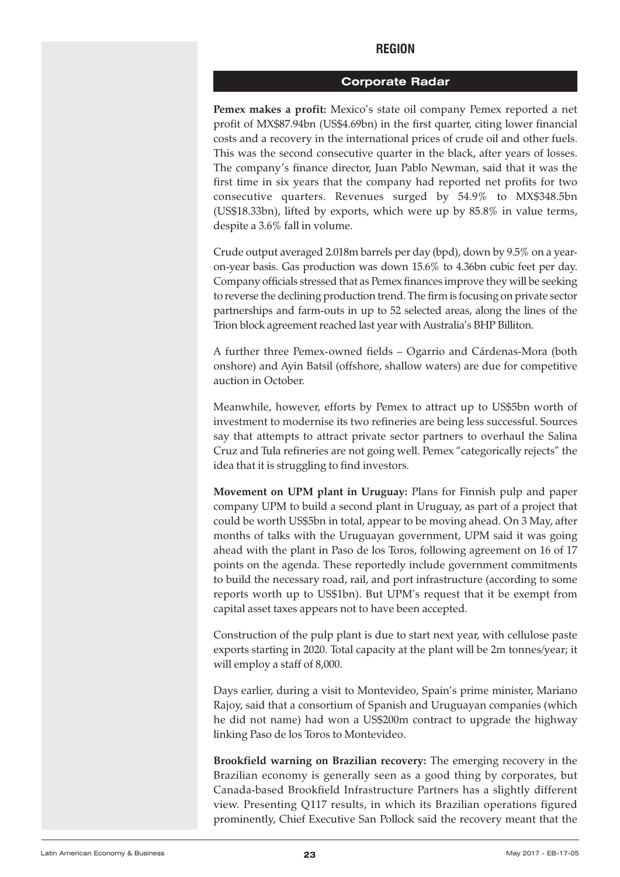#### **REGION**

#### **Corporate Radar**

<span id="page-22-0"></span>**Pemex makes a profit:** Mexico's state oil company Pemex reported a net profit of MX\$87.94bn (US\$4.69bn) in the first quarter, citing lower financial costs and a recovery in the international prices of crude oil and other fuels. This was the second consecutive quarter in the black, after years of losses. The company's finance director, Juan Pablo Newman, said that it was the first time in six years that the company had reported net profits for two consecutive quarters. Revenues surged by 54.9% to MX\$348.5bn (US\$18.33bn), lifted by exports, which were up by 85.8% in value terms, despite a 3.6% fall in volume.

Crude output averaged 2.018m barrels per day (bpd), down by 9.5% on a yearon-year basis. Gas production was down 15.6% to 4.36bn cubic feet per day. Company officials stressed that as Pemex finances improve they will be seeking to reverse the declining production trend. The firm is focusing on private sector partnerships and farm-outs in up to 52 selected areas, along the lines of the Trion block agreement reached last year with Australia's BHP Billiton.

A further three Pemex-owned fields – Ogarrio and Cárdenas-Mora (both onshore) and Ayin Batsil (offshore, shallow waters) are due for competitive auction in October.

Meanwhile, however, efforts by Pemex to attract up to US\$5bn worth of investment to modernise its two refineries are being less successful. Sources say that attempts to attract private sector partners to overhaul the Salina Cruz and Tula refineries are not going well. Pemex "categorically rejects" the idea that it is struggling to find investors.

**Movement on UPM plant in Uruguay:** Plans for Finnish pulp and paper company UPM to build a second plant in Uruguay, as part of a project that could be worth US\$5bn in total, appear to be moving ahead. On 3 May, after months of talks with the Uruguayan government, UPM said it was going ahead with the plant in Paso de los Toros, following agreement on 16 of 17 points on the agenda. These reportedly include government commitments to build the necessary road, rail, and port infrastructure (according to some reports worth up to US\$1bn). But UPM's request that it be exempt from capital asset taxes appears not to have been accepted.

Construction of the pulp plant is due to start next year, with cellulose paste exports starting in 2020. Total capacity at the plant will be 2m tonnes/year; it will employ a staff of 8,000.

Days earlier, during a visit to Montevideo, Spain's prime minister, Mariano Rajoy, said that a consortium of Spanish and Uruguayan companies (which he did not name) had won a US\$200m contract to upgrade the highway linking Paso de los Toros to Montevideo.

**Brookfield warning on Brazilian recovery:** The emerging recovery in the Brazilian economy is generally seen as a good thing by corporates, but Canada-based Brookfield Infrastructure Partners has a slightly different view. Presenting Q117 results, in which its Brazilian operations figured prominently, Chief Executive San Pollock said the recovery meant that the